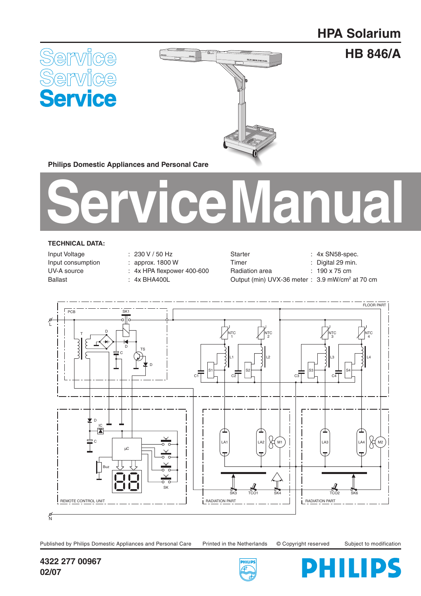# **HPA Solarium**

**HB 846/A**

Service **AB** ervice



**Philips Domestic Appliances and Personal Care**



#### **TECHNICAL DATA:**

Input Voltage : 230 V / 50 Hz Input consumption : approx. 1800 W UV-A source : 4x HPA flexpower 400-600 Ballast : 4x BHA400L

- 
- -

Starter : 4x SN58-spec. Timer : Digital 29 min. Radiation area : 190 x 75 cm

- 
- 
- 
- Output (min) UVX-36 meter : 3.9 mW/cm<sup>2</sup> at 70 cm



Published by Philips Domestic Appliances and Personal Care Printed in the Netherlands © Copyright reserved Subject to modification





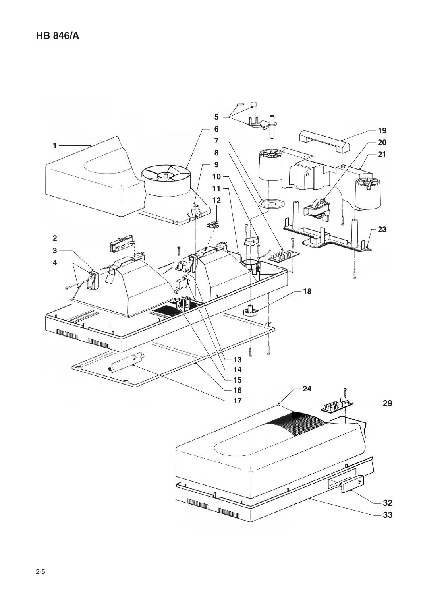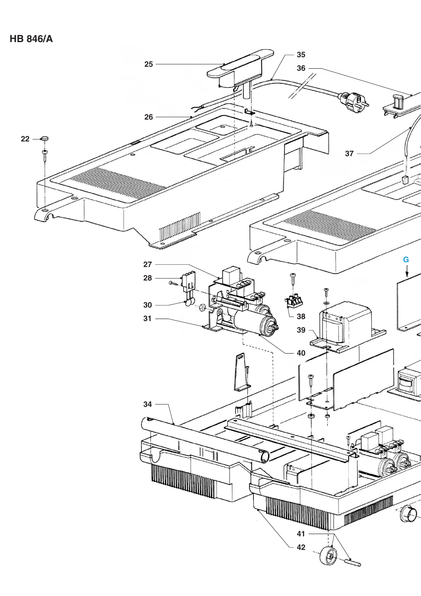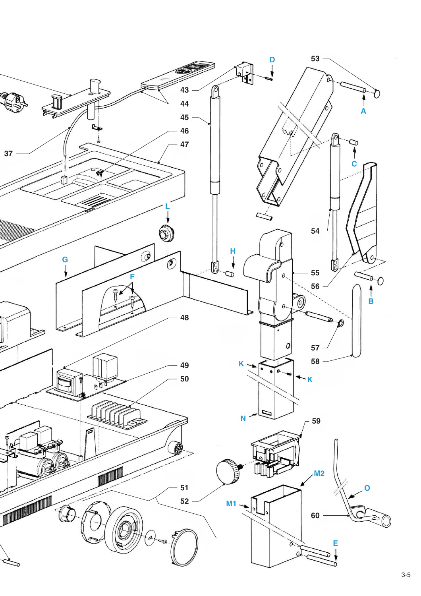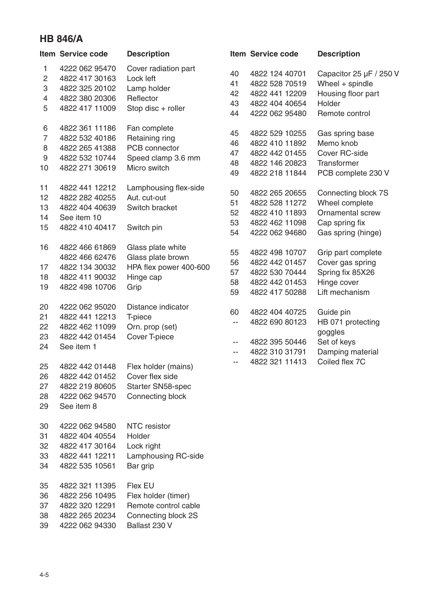## **HB 846/A**

|                  | Item Service code | <b>Description</b>     |                          | Item Service code | <b>Description</b>      |
|------------------|-------------------|------------------------|--------------------------|-------------------|-------------------------|
| 1                | 4222 062 95470    | Cover radiation part   | 40                       | 4822 124 40701    | Capacitor 25 µF / 250 V |
| $\overline{2}$   | 4822 417 30163    | Lock left              | 41                       |                   |                         |
| 3                | 4822 325 20102    | Lamp holder            |                          | 4822 528 70519    | Wheel $+$ spindle       |
| $\overline{4}$   | 4822 380 20306    | Reflector              | 42                       | 4822 441 12209    | Housing floor part      |
| 5                | 4822 417 11009    | Stop disc + roller     | 43                       | 4822 404 40654    | Holder                  |
|                  |                   |                        | 44                       | 4222 062 95480    | Remote control          |
| 6                | 4822 361 11186    | Fan complete           | 45                       | 4822 529 10255    | Gas spring base         |
| $\overline{7}$   | 4822 532 40186    | Retaining ring         | 46                       | 4822 410 11892    | Memo knob               |
| 8                | 4822 265 41388    | PCB connector          | 47                       | 4822 442 01455    | Cover RC-side           |
| $\boldsymbol{9}$ | 4822 532 10744    | Speed clamp 3.6 mm     | 48                       | 4822 146 20823    | Transformer             |
| 10               | 4822 271 30619    | Micro switch           | 49                       | 4822 218 11844    | PCB complete 230 V      |
| 11               | 4822 441 12212    | Lamphousing flex-side  |                          |                   |                         |
| 12               | 4822 282 40255    | Aut. cut-out           | 50                       | 4822 265 20655    | Connecting block 7S     |
| 13               | 4822 404 40639    | Switch bracket         | 51                       | 4822 528 11272    | Wheel complete          |
| 14               | See item 10       |                        | 52                       | 4822 410 11893    | Ornamental screw        |
| 15               | 4822 410 40417    | Switch pin             | 53                       | 4822 462 11098    | Cap spring fix          |
|                  |                   |                        | 54                       | 4222 062 94680    | Gas spring (hinge)      |
| 16               | 4822 466 61869    | Glass plate white      | 55                       | 4822 498 10707    | Grip part complete      |
|                  | 4822 466 62476    | Glass plate brown      | 56                       | 4822 442 01457    | Cover gas spring        |
| 17               | 4822 134 30032    | HPA flex power 400-600 | 57                       | 4822 530 70444    | Spring fix 85X26        |
| 18               | 4822 411 90032    | Hinge cap              | 58                       | 4822 442 01453    | Hinge cover             |
| 19               | 4822 498 10706    | Grip                   | 59                       | 4822 417 50288    | Lift mechanism          |
| 20               | 4222 062 95020    | Distance indicator     |                          |                   |                         |
| 21               | 4822 441 12213    | T-piece                | 60                       | 4822 404 40725    | Guide pin               |
| 22               | 4822 462 11099    | Orn. prop (set)        | $\overline{\phantom{a}}$ | 4822 690 80123    | HB 071 protecting       |
| 23               | 4822 442 01454    | Cover T-piece          |                          |                   | goggles                 |
| 24               | See item 1        |                        | $\overline{\phantom{a}}$ | 4822 395 50446    | Set of keys             |
|                  |                   |                        | --                       | 4822 310 31791    | Damping material        |
| 25               | 4822 442 01448    | Flex holder (mains)    | --                       | 4822 321 11413    | Coiled flex 7C          |
| 26               | 4822 442 01452    | Cover flex side        |                          |                   |                         |
| 27               | 4822 219 80605    | Starter SN58-spec      |                          |                   |                         |
| 28               | 4222 062 94570    | Connecting block       |                          |                   |                         |
| 29               | See item 8        |                        |                          |                   |                         |
|                  | 4222 062 94580    | NTC resistor           |                          |                   |                         |
| 30<br>31         | 4822 404 40554    | Holder                 |                          |                   |                         |
|                  |                   |                        |                          |                   |                         |
| 32               | 4822 417 30164    | Lock right             |                          |                   |                         |
| 33               | 4822 441 12211    | Lamphousing RC-side    |                          |                   |                         |
| 34               | 4822 535 10561    | Bar grip               |                          |                   |                         |
| 35               | 4822 321 11395    | Flex EU                |                          |                   |                         |
| 36               | 4822 256 10495    | Flex holder (timer)    |                          |                   |                         |
| 37               | 4822 320 12291    | Remote control cable   |                          |                   |                         |
| 38               | 4822 265 20234    | Connecting block 2S    |                          |                   |                         |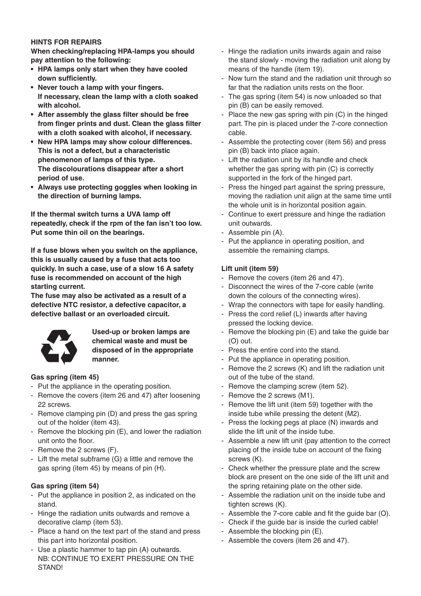#### **HINTS FOR REPAIRS**

**When checking/replacing HPA-lamps you should pay attention to the following:**

- **HPA lamps only start when they have cooled**  down sufficiently.
- Never touch a lamp with your fingers. **If necessary, clean the lamp with a cloth soaked with alcohol.**
- After assembly the glass filter should be free from finger prints and dust. Clean the glass filter **with a cloth soaked with alcohol, if necessary.**
- **New HPA lamps may show colour differences. This is not a defect, but a characteristic phenomenon of lamps of this type. The discolourations disappear after a short period of use.**
- **Always use protecting goggles when looking in the direction of burning lamps.**

**If the thermal switch turns a UVA lamp off repeatedly, check if the rpm of the fan isn't too low. Put some thin oil on the bearings.**

**If a fuse blows when you switch on the appliance, this is usually caused by a fuse that acts too quickly. In such a case, use of a slow 16 A safety fuse is recommended on account of the high starting current.**

**The fuse may also be activated as a result of a defective NTC resistor, a defective capacitor, a defective ballast or an overloaded circuit.**



**Used-up or broken lamps are chemical waste and must be disposed of in the appropriate manner.**

#### **Gas spring (item 45)**

- Put the appliance in the operating position.
- Remove the covers (item 26 and 47) after loosening 22 screws.
- Remove clamping pin (D) and press the gas spring out of the holder (item 43).
- Remove the blocking pin (E), and lower the radiation unit onto the floor.
- Remove the 2 screws (F).
- Lift the metal subframe (G) a little and remove the gas spring (item 45) by means of pin (H).

#### **Gas spring (item 54)**

- Put the appliance in position 2, as indicated on the stand.
- Hinge the radiation units outwards and remove a decorative clamp (item 53).
- Place a hand on the text part of the stand and press this part into horizontal position.
- Use a plastic hammer to tap pin (A) outwards. NB: CONTINUE TO EXERT PRESSURE ON THE STAND!
- Hinge the radiation units inwards again and raise the stand slowly - moving the radiation unit along by means of the handle (item 19).
- Now turn the stand and the radiation unit through so far that the radiation units rests on the floor.
- The gas spring (item 54) is now unloaded so that pin (B) can be easily removed.
- Place the new gas spring with pin (C) in the hinged part. The pin is placed under the 7-core connection cable.
- Assemble the protecting cover (item 56) and press pin (B) back into place again.
- Lift the radiation unit by its handle and check whether the gas spring with pin (C) is correctly supported in the fork of the hinged part.
- Press the hinged part against the spring pressure, moving the radiation unit align at the same time until the whole unit is in horizontal position again.
- Continue to exert pressure and hinge the radiation unit outwards.
- Assemble pin (A).
- Put the appliance in operating position, and assemble the remaining clamps.

### **Lift unit (item 59)**

- Remove the covers (item 26 and 47).
- Disconnect the wires of the 7-core cable (write down the colours of the connecting wires).
- Wrap the connectors with tape for easily handling.
- Press the cord relief (L) inwards after having pressed the locking device.
- Remove the blocking pin (E) and take the guide bar (O) out.
- Press the entire cord into the stand.
- Put the appliance in operating position.
- Remove the 2 screws (K) and lift the radiation unit out of the tube of the stand.
- Remove the clamping screw (item 52).
- Remove the 2 screws (M1).
- Remove the lift unit (item 59) together with the inside tube while pressing the detent (M2).
- Press the locking pegs at place (N) inwards and slide the lift unit of the inside tube.
- Assemble a new lift unit (pay attention to the correct placing of the inside tube on account of the fixing screws (K).
- Check whether the pressure plate and the screw block are present on the one side of the lift unit and the spring retaining plate on the other side.
- Assemble the radiation unit on the inside tube and tighten screws (K).
- Assemble the 7-core cable and fit the guide bar (O).
- Check if the guide bar is inside the curled cable!
- Assemble the blocking pin (E).
- Assemble the covers (item 26 and 47).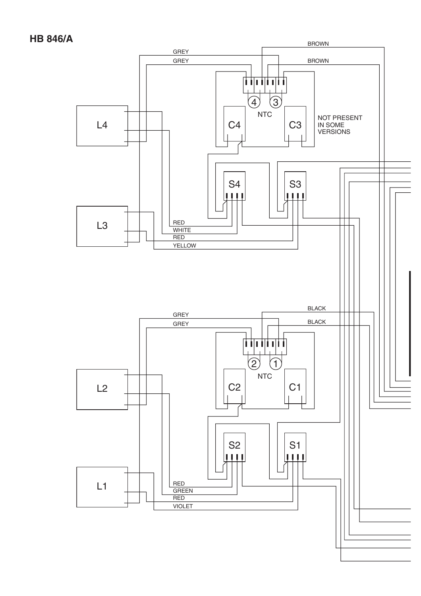